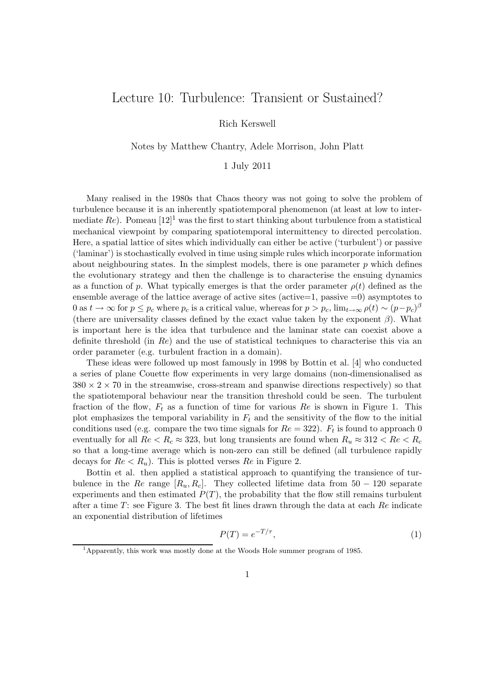## Lecture 10: Turbulence: Transient or Sustained?

Rich Kerswell

Notes by Matthew Chantry, Adele Morrison, John Platt

## 1 July 2011

Many realised in the 1980s that Chaos theory was not going to solve the problem of turbulence because it is an inherently spatiotemporal phenomenon (at least at low to intermediate Re). Pomeau  $[12]^1$  was the first to start thinking about turbulence from a statistical mechanical viewpoint by comparing spatiotemporal intermittency to directed percolation. Here, a spatial lattice of sites which individually can either be active ('turbulent') or passive ('laminar') is stochastically evolved in time using simple rules which incorporate information about neighbouring states. In the simplest models, there is one parameter  $p$  which defines the evolutionary strategy and then the challenge is to characterise the ensuing dynamics as a function of p. What typically emerges is that the order parameter  $\rho(t)$  defined as the ensemble average of the lattice average of active sites (active=1, passive  $=0$ ) asymptotes to 0 as  $t \to \infty$  for  $p \le p_c$  where  $p_c$  is a critical value, whereas for  $p > p_c$ ,  $\lim_{t \to \infty} \rho(t) \sim (p-p_c)^{\beta}$ (there are universality classes defined by the exact value taken by the exponent  $\beta$ ). What is important here is the idea that turbulence and the laminar state can coexist above a definite threshold (in Re) and the use of statistical techniques to characterise this via an order parameter (e.g. turbulent fraction in a domain).

These ideas were followed up most famously in 1998 by Bottin et al. [4] who conducted a series of plane Couette flow experiments in very large domains (non-dimensionalised as  $380 \times 2 \times 70$  in the streamwise, cross-stream and spanwise directions respectively) so that the spatiotemporal behaviour near the transition threshold could be seen. The turbulent fraction of the flow,  $F_t$  as a function of time for various Re is shown in Figure 1. This plot emphasizes the temporal variability in  $F_t$  and the sensitivity of the flow to the initial conditions used (e.g. compare the two time signals for  $Re = 322$ ).  $F_t$  is found to approach 0 eventually for all  $Re < R_c \approx 323$ , but long transients are found when  $R_u \approx 312 < Re < R_c$ so that a long-time average which is non-zero can still be defined (all turbulence rapidly decays for  $Re < R_u$ ). This is plotted verses  $Re$  in Figure 2.

Bottin et al. then applied a statistical approach to quantifying the transience of turbulence in the Re range  $[R_u, R_c]$ . They collected lifetime data from 50 – 120 separate experiments and then estimated  $P(T)$ , the probability that the flow still remains turbulent after a time  $T$ : see Figure 3. The best fit lines drawn through the data at each  $Re$  indicate an exponential distribution of lifetimes

$$
P(T) = e^{-T/\tau},\tag{1}
$$

<sup>1</sup>Apparently, this work was mostly done at the Woods Hole summer program of 1985.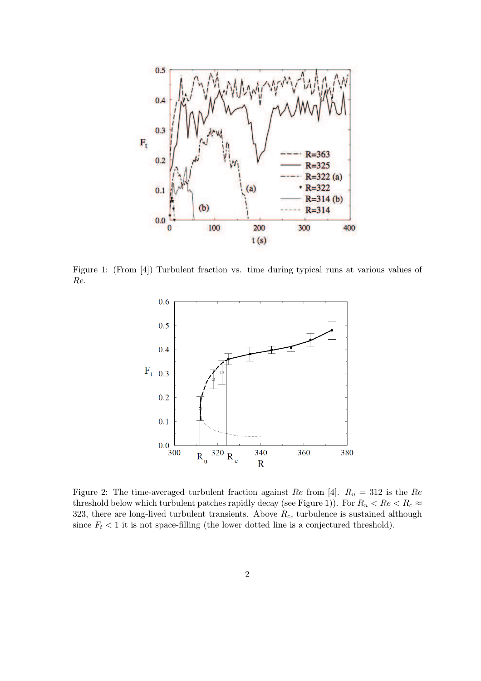

Figure 1: (From [4]) Turbulent fraction vs. time during typical runs at various values of Re.



Figure 2: The time-averaged turbulent fraction against Re from [4].  $R_u = 312$  is the Re threshold below which turbulent patches rapidly decay (see Figure 1)). For  $R_u < Re < R_c \approx$ 323, there are long-lived turbulent transients. Above  $R_c$ , turbulence is sustained although since  $F_t < 1$  it is not space-filling (the lower dotted line is a conjectured threshold).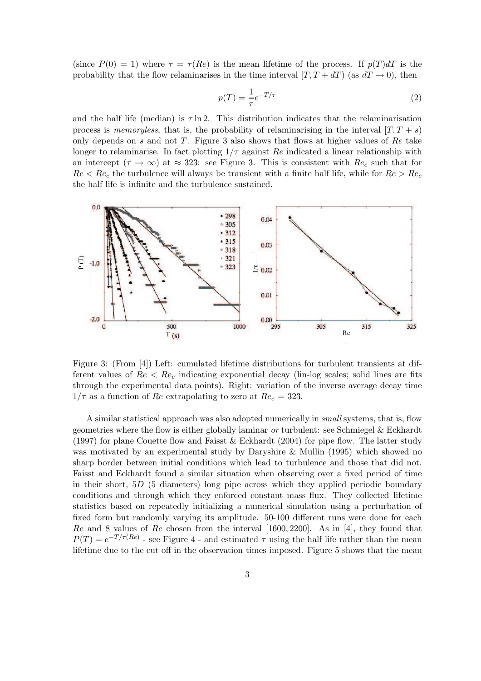(since  $P(0) = 1$ ) where  $\tau = \tau(Re)$  is the mean lifetime of the process. If  $p(T)dT$  is the probability that the flow relaminarises in the time interval  $[T, T + dT]$  (as  $dT \rightarrow 0$ ), then

$$
p(T) = \frac{1}{\tau}e^{-T/\tau} \tag{2}
$$

and the half life (median) is  $\tau \ln 2$ . This distribution indicates that the relaminarisation process is *memoryless*, that is, the probability of relaminarising in the interval  $[T, T + s]$ only depends on s and not T. Figure 3 also shows that flows at higher values of  $Re$  take longer to relaminarise. In fact plotting  $1/\tau$  against Re indicated a linear relationship with an intercept  $(\tau \to \infty)$  at  $\approx 323$ : see Figure 3. This is consistent with  $Re_c$  such that for  $Re < Re_c$  the turbulence will always be transient with a finite half life, while for  $Re > Re_c$ the half life is infinite and the turbulence sustained.



Figure 3: (From [4]) Left: cumulated lifetime distributions for turbulent transients at different values of  $Re < Re_c$  indicating exponential decay (lin-log scales; solid lines are fits through the experimental data points). Right: variation of the inverse average decay time  $1/\tau$  as a function of Re extrapolating to zero at  $Re_c = 323$ .

A similar statistical approach was also adopted numerically in *small* systems, that is, flow geometries where the flow is either globally laminar *or* turbulent: see Schmiegel & Eckhardt (1997) for plane Couette flow and Faisst & Eckhardt (2004) for pipe flow. The latter study was motivated by an experimental study by Daryshire & Mullin (1995) which showed no sharp border between initial conditions which lead to turbulence and those that did not. Faisst and Eckhardt found a similar situation when observing over a fixed period of time in their short,  $5D$  (5 diameters) long pipe across which they applied periodic boundary conditions and through which they enforced constant mass flux. They collected lifetime statistics based on repeatedly initializing a numerical simulation using a perturbation of fixed form but randomly varying its amplitude. 50-100 different runs were done for each  $Re$  and 8 values of  $Re$  chosen from the interval [1600, 2200]. As in [4], they found that  $P(T) = e^{-T/\tau(Re)}$  - see Figure 4 - and estimated  $\tau$  using the half life rather than the mean lifetime due to the cut off in the observation times imposed. Figure 5 shows that the mean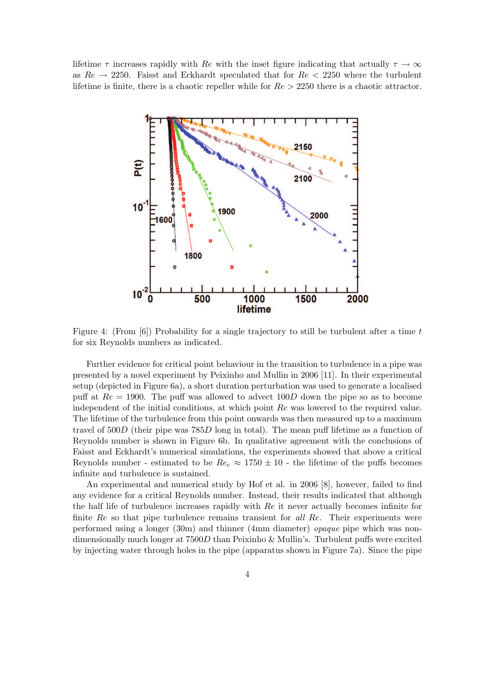lifetime  $\tau$  increases rapidly with Re with the inset figure indicating that actually  $\tau \to \infty$ as  $Re \rightarrow 2250$ . Faisst and Eckhardt speculated that for  $Re < 2250$  where the turbulent lifetime is finite, there is a chaotic repeller while for  $Re > 2250$  there is a chaotic attractor.



Figure 4: (From [6]) Probability for a single trajectory to still be turbulent after a time t for six Reynolds numbers as indicated.

Further evidence for critical point behaviour in the transition to turbulence in a pipe was presented by a novel experiment by Peixinho and Mullin in 2006 [11]. In their experimental setup (depicted in Figure 6a), a short duration perturbation was used to generate a localised puff at  $Re = 1900$ . The puff was allowed to advect  $100D$  down the pipe so as to become independent of the initial conditions, at which point Re was lowered to the required value. The lifetime of the turbulence from this point onwards was then measured up to a maximum travel of 500D (their pipe was 785D long in total). The mean puff lifetime as a function of Reynolds number is shown in Figure 6b. In qualitative agreement with the conclusions of Faisst and Eckhardt's numerical simulations, the experiments showed that above a critical Reynolds number - estimated to be  $Re_c \approx 1750 \pm 10$  - the lifetime of the puffs becomes infinite and turbulence is sustained.

An experimental and numerical study by Hof et al. in 2006 [8], however, failed to find any evidence for a critical Reynolds number. Instead, their results indicated that although the half life of turbulence increases rapidly with Re it never actually becomes infinite for finite Re so that pipe turbulence remains transient for *all* Re. Their experiments were performed using a longer (30m) and thinner (4mm diameter) *opaque* pipe which was nondimensionally much longer at  $7500D$  than Peixinho & Mullin's. Turbulent puffs were excited by injecting water through holes in the pipe (apparatus shown in Figure 7a). Since the pipe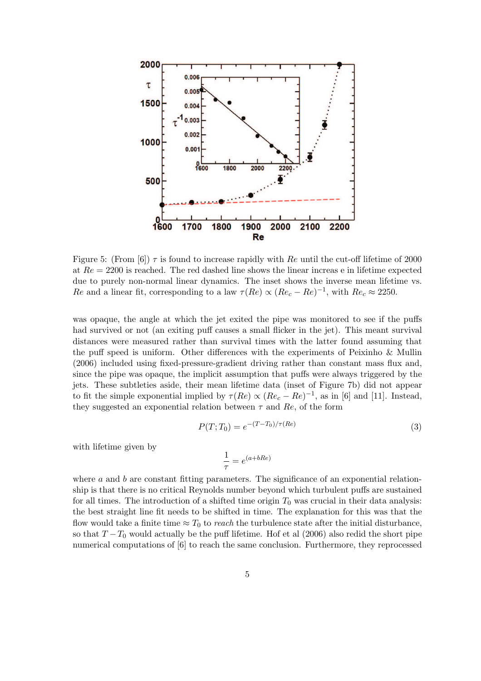

Figure 5: (From [6])  $\tau$  is found to increase rapidly with Re until the cut-off lifetime of 2000 at  $Re = 2200$  is reached. The red dashed line shows the linear increase in lifetime expected due to purely non-normal linear dynamics. The inset shows the inverse mean lifetime vs. Re and a linear fit, corresponding to a law  $\tau(Re) \propto (Re_c - Re)^{-1}$ , with  $Re_c \approx 2250$ .

was opaque, the angle at which the jet exited the pipe was monitored to see if the puffs had survived or not (an exiting puff causes a small flicker in the jet). This meant survival distances were measured rather than survival times with the latter found assuming that the puff speed is uniform. Other differences with the experiments of Peixinho & Mullin (2006) included using fixed-pressure-gradient driving rather than constant mass flux and, since the pipe was opaque, the implicit assumption that puffs were always triggered by the jets. These subtleties aside, their mean lifetime data (inset of Figure 7b) did not appear to fit the simple exponential implied by  $\tau(Re) \propto (Re_c - Re)^{-1}$ , as in [6] and [11]. Instead, they suggested an exponential relation between  $\tau$  and  $Re$ , of the form

$$
P(T;T_0) = e^{-(T-T_0)/\tau(Re)}
$$
\n(3)

with lifetime given by

$$
\frac{1}{\tau} = e^{(a+bRe)}
$$

where  $a$  and  $b$  are constant fitting parameters. The significance of an exponential relationship is that there is no critical Reynolds number beyond which turbulent puffs are sustained for all times. The introduction of a shifted time origin  $T_0$  was crucial in their data analysis: the best straight line fit needs to be shifted in time. The explanation for this was that the flow would take a finite time  $\approx T_0$  to *reach* the turbulence state after the initial disturbance, so that  $T - T_0$  would actually be the puff lifetime. Hof et al (2006) also redid the short pipe numerical computations of [6] to reach the same conclusion. Furthermore, they reprocessed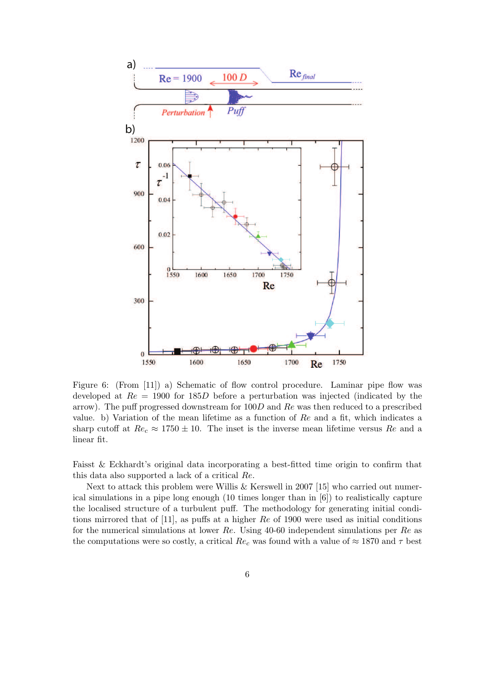

Figure 6: (From [11]) a) Schematic of flow control procedure. Laminar pipe flow was developed at  $Re = 1900$  for 185D before a perturbation was injected (indicated by the arrow). The puff progressed downstream for  $100D$  and Re was then reduced to a prescribed value. b) Variation of the mean lifetime as a function of  $Re$  and a fit, which indicates a sharp cutoff at  $Re_c \approx 1750 \pm 10$ . The inset is the inverse mean lifetime versus Re and a linear fit.

Faisst & Eckhardt's original data incorporating a best-fitted time origin to confirm that this data also supported a lack of a critical Re.

Next to attack this problem were Willis & Kerswell in 2007 [15] who carried out numerical simulations in a pipe long enough (10 times longer than in [6]) to realistically capture the localised structure of a turbulent puff. The methodology for generating initial conditions mirrored that of [11], as puffs at a higher Re of 1900 were used as initial conditions for the numerical simulations at lower Re. Using 40-60 independent simulations per Re as the computations were so costly, a critical  $Re_c$  was found with a value of  $\approx 1870$  and  $\tau$  best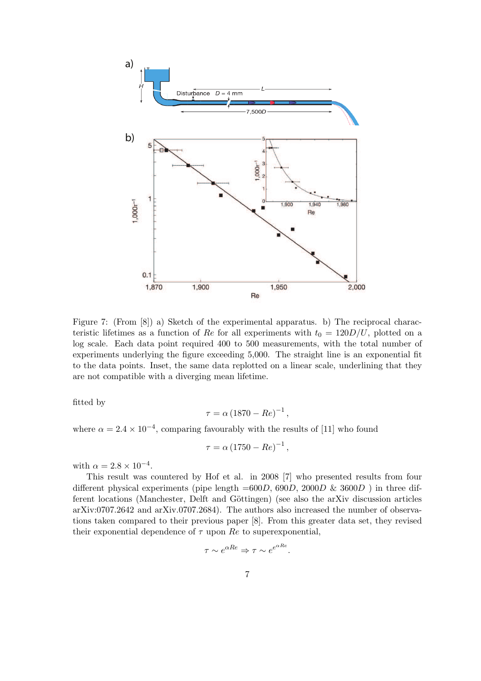![](_page_6_Figure_0.jpeg)

Figure 7: (From [8]) a) Sketch of the experimental apparatus. b) The reciprocal characteristic lifetimes as a function of Re for all experiments with  $t_0 = 120D/U$ , plotted on a log scale. Each data point required 400 to 500 measurements, with the total number of experiments underlying the figure exceeding 5,000. The straight line is an exponential fit to the data points. Inset, the same data replotted on a linear scale, underlining that they are not compatible with a diverging mean lifetime.

fitted by

$$
\tau = \alpha \left( 1870 - Re \right)^{-1},
$$

where  $\alpha = 2.4 \times 10^{-4}$ , comparing favourably with the results of [11] who found

$$
\tau = \alpha \left( 1750 - Re \right)^{-1},
$$

with  $\alpha = 2.8 \times 10^{-4}$ .

This result was countered by Hof et al. in 2008 [7] who presented results from four different physical experiments (pipe length  $=600D$ , 690D, 2000D & 3600D) in three different locations (Manchester, Delft and Göttingen) (see also the arXiv discussion articles arXiv:0707.2642 and arXiv.0707.2684). The authors also increased the number of observations taken compared to their previous paper [8]. From this greater data set, they revised their exponential dependence of  $\tau$  upon  $Re$  to superexponential,

$$
\tau \sim e^{\alpha Re} \Rightarrow \tau \sim e^{e^{\alpha Re}}
$$

.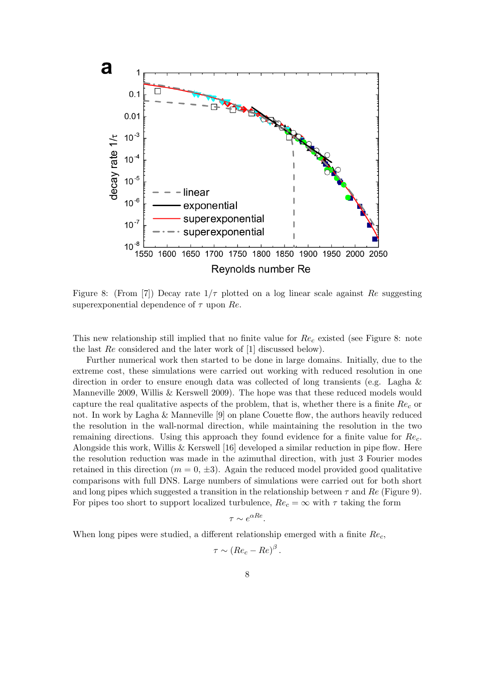![](_page_7_Figure_0.jpeg)

Figure 8: (From [7]) Decay rate  $1/\tau$  plotted on a log linear scale against Re suggesting superexponential dependence of  $\tau$  upon Re.

This new relationship still implied that no finite value for  $Re<sub>c</sub>$  existed (see Figure 8: note the last Re considered and the later work of [1] discussed below).

Further numerical work then started to be done in large domains. Initially, due to the extreme cost, these simulations were carried out working with reduced resolution in one direction in order to ensure enough data was collected of long transients (e.g. Lagha & Manneville 2009, Willis & Kerswell 2009). The hope was that these reduced models would capture the real qualitative aspects of the problem, that is, whether there is a finite  $Re<sub>c</sub>$  or not. In work by Lagha & Manneville [9] on plane Couette flow, the authors heavily reduced the resolution in the wall-normal direction, while maintaining the resolution in the two remaining directions. Using this approach they found evidence for a finite value for  $Re<sub>c</sub>$ . Alongside this work, Willis & Kerswell [16] developed a similar reduction in pipe flow. Here the resolution reduction was made in the azimuthal direction, with just 3 Fourier modes retained in this direction  $(m = 0, \pm 3)$ . Again the reduced model provided good qualitative comparisons with full DNS. Large numbers of simulations were carried out for both short and long pipes which suggested a transition in the relationship between  $\tau$  and  $Re$  (Figure 9). For pipes too short to support localized turbulence,  $Re_c = \infty$  with  $\tau$  taking the form

$$
\tau \sim e^{\alpha Re}.
$$

When long pipes were studied, a different relationship emerged with a finite  $Re<sub>c</sub>$ ,

$$
\tau \sim (Re_c - Re)^{\beta}
$$

.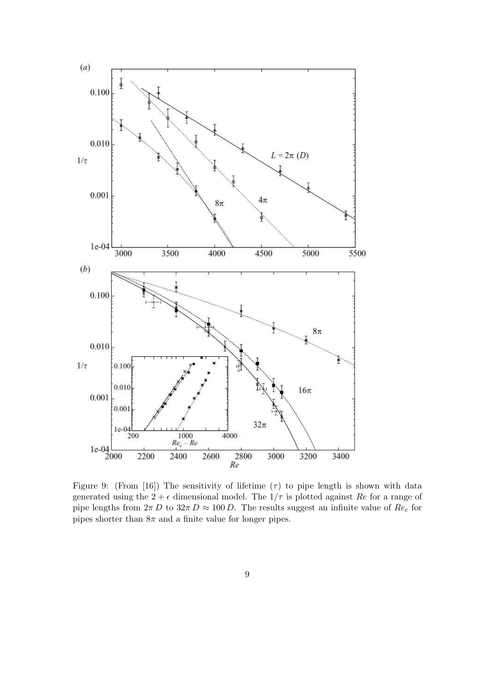![](_page_8_Figure_0.jpeg)

Figure 9: (From [16]) The sensitivity of lifetime  $(\tau)$  to pipe length is shown with data generated using the  $2 + \epsilon$  dimensional model. The  $1/\tau$  is plotted against Re for a range of pipe lengths from  $2\pi D$  to  $32\pi D \approx 100 D$ . The results suggest an infinite value of  $Re_c$  for pipes shorter than  $8\pi$  and a finite value for longer pipes.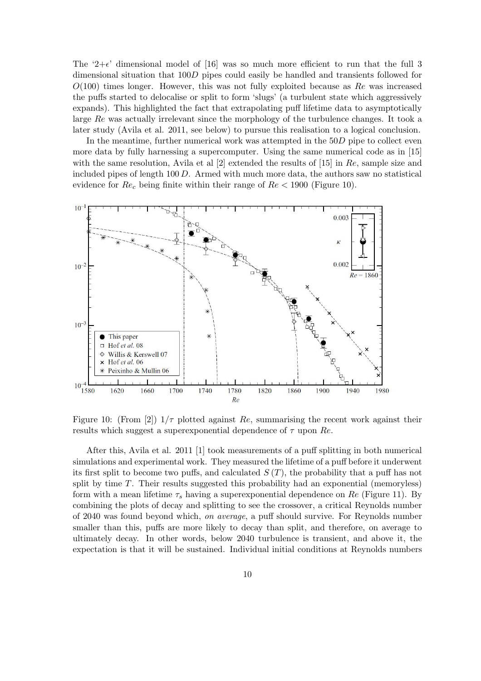The '2+ $\epsilon$ ' dimensional model of [16] was so much more efficient to run that the full 3 dimensional situation that 100D pipes could easily be handled and transients followed for  $O(100)$  times longer. However, this was not fully exploited because as Re was increased the puffs started to delocalise or split to form 'slugs' (a turbulent state which aggressively expands). This highlighted the fact that extrapolating puff lifetime data to asymptotically large Re was actually irrelevant since the morphology of the turbulence changes. It took a later study (Avila et al. 2011, see below) to pursue this realisation to a logical conclusion.

In the meantime, further numerical work was attempted in the  $50D$  pipe to collect even more data by fully harnessing a supercomputer. Using the same numerical code as in [15] with the same resolution, Avila et al  $[2]$  extended the results of  $[15]$  in Re, sample size and included pipes of length  $100 D$ . Armed with much more data, the authors saw no statistical evidence for  $Re_c$  being finite within their range of  $Re < 1900$  (Figure 10).

![](_page_9_Figure_2.jpeg)

Figure 10: (From [2])  $1/\tau$  plotted against Re, summarising the recent work against their results which suggest a superexponential dependence of  $\tau$  upon  $Re$ .

After this, Avila et al. 2011 [1] took measurements of a puff splitting in both numerical simulations and experimental work. They measured the lifetime of a puff before it underwent its first split to become two puffs, and calculated  $S(T)$ , the probability that a puff has not split by time  $T$ . Their results suggested this probability had an exponential (memoryless) form with a mean lifetime  $\tau_s$  having a superexponential dependence on Re (Figure 11). By combining the plots of decay and splitting to see the crossover, a critical Reynolds number of 2040 was found beyond which, *on average*, a puff should survive. For Reynolds number smaller than this, puffs are more likely to decay than split, and therefore, on average to ultimately decay. In other words, below 2040 turbulence is transient, and above it, the expectation is that it will be sustained. Individual initial conditions at Reynolds numbers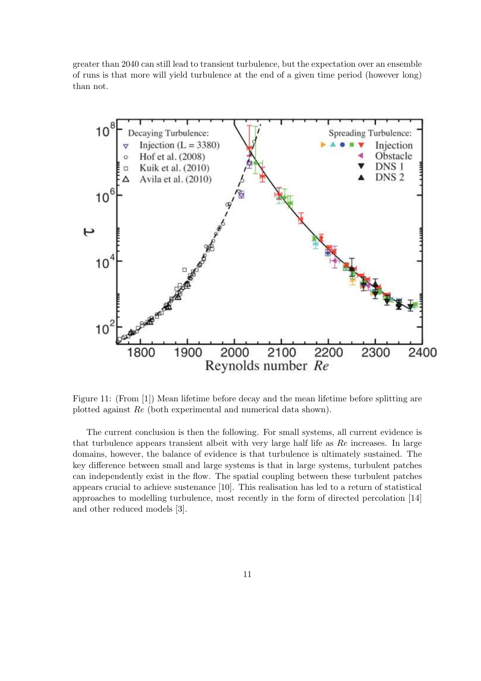greater than 2040 can still lead to transient turbulence, but the expectation over an ensemble of runs is that more will yield turbulence at the end of a given time period (however long) than not.

![](_page_10_Figure_1.jpeg)

Figure 11: (From [1]) Mean lifetime before decay and the mean lifetime before splitting are plotted against Re (both experimental and numerical data shown).

The current conclusion is then the following. For small systems, all current evidence is that turbulence appears transient albeit with very large half life as Re increases. In large domains, however, the balance of evidence is that turbulence is ultimately sustained. The key difference between small and large systems is that in large systems, turbulent patches can independently exist in the flow. The spatial coupling between these turbulent patches appears crucial to achieve sustenance [10]. This realisation has led to a return of statistical approaches to modelling turbulence, most recently in the form of directed percolation [14] and other reduced models [3].